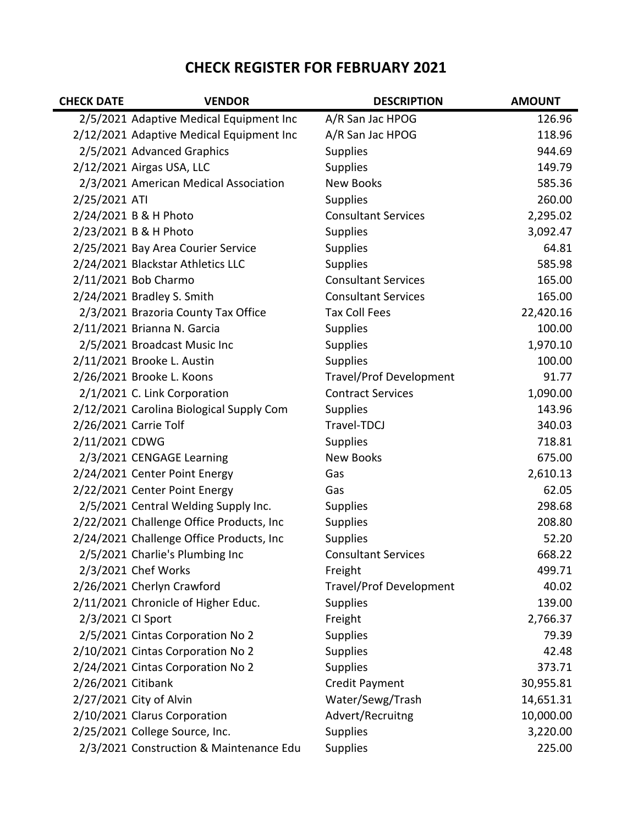## **CHECK REGISTER FOR FEBRUARY 2021**

| <b>CHECK DATE</b>  | <b>VENDOR</b>                            | <b>DESCRIPTION</b>             | <b>AMOUNT</b> |
|--------------------|------------------------------------------|--------------------------------|---------------|
|                    | 2/5/2021 Adaptive Medical Equipment Inc  | A/R San Jac HPOG               | 126.96        |
|                    | 2/12/2021 Adaptive Medical Equipment Inc | A/R San Jac HPOG               | 118.96        |
|                    | 2/5/2021 Advanced Graphics               | <b>Supplies</b>                | 944.69        |
|                    | 2/12/2021 Airgas USA, LLC                | <b>Supplies</b>                | 149.79        |
|                    | 2/3/2021 American Medical Association    | <b>New Books</b>               | 585.36        |
| 2/25/2021 ATI      |                                          | <b>Supplies</b>                | 260.00        |
|                    | 2/24/2021 B & H Photo                    | <b>Consultant Services</b>     | 2,295.02      |
|                    | 2/23/2021 B & H Photo                    | <b>Supplies</b>                | 3,092.47      |
|                    | 2/25/2021 Bay Area Courier Service       | <b>Supplies</b>                | 64.81         |
|                    | 2/24/2021 Blackstar Athletics LLC        | <b>Supplies</b>                | 585.98        |
|                    | 2/11/2021 Bob Charmo                     | <b>Consultant Services</b>     | 165.00        |
|                    | 2/24/2021 Bradley S. Smith               | <b>Consultant Services</b>     | 165.00        |
|                    | 2/3/2021 Brazoria County Tax Office      | <b>Tax Coll Fees</b>           | 22,420.16     |
|                    | 2/11/2021 Brianna N. Garcia              | <b>Supplies</b>                | 100.00        |
|                    | 2/5/2021 Broadcast Music Inc             | <b>Supplies</b>                | 1,970.10      |
|                    | 2/11/2021 Brooke L. Austin               | <b>Supplies</b>                | 100.00        |
|                    | 2/26/2021 Brooke L. Koons                | <b>Travel/Prof Development</b> | 91.77         |
|                    | 2/1/2021 C. Link Corporation             | <b>Contract Services</b>       | 1,090.00      |
|                    | 2/12/2021 Carolina Biological Supply Com | <b>Supplies</b>                | 143.96        |
|                    | 2/26/2021 Carrie Tolf                    | Travel-TDCJ                    | 340.03        |
| 2/11/2021 CDWG     |                                          | <b>Supplies</b>                | 718.81        |
|                    | 2/3/2021 CENGAGE Learning                | <b>New Books</b>               | 675.00        |
|                    | 2/24/2021 Center Point Energy            | Gas                            | 2,610.13      |
|                    | 2/22/2021 Center Point Energy            | Gas                            | 62.05         |
|                    | 2/5/2021 Central Welding Supply Inc.     | <b>Supplies</b>                | 298.68        |
|                    | 2/22/2021 Challenge Office Products, Inc | <b>Supplies</b>                | 208.80        |
|                    | 2/24/2021 Challenge Office Products, Inc | <b>Supplies</b>                | 52.20         |
|                    | 2/5/2021 Charlie's Plumbing Inc          | <b>Consultant Services</b>     | 668.22        |
|                    | 2/3/2021 Chef Works                      | Freight                        | 499.71        |
|                    | 2/26/2021 Cherlyn Crawford               | <b>Travel/Prof Development</b> | 40.02         |
|                    | 2/11/2021 Chronicle of Higher Educ.      | <b>Supplies</b>                | 139.00        |
| 2/3/2021 CI Sport  |                                          | Freight                        | 2,766.37      |
|                    | 2/5/2021 Cintas Corporation No 2         | <b>Supplies</b>                | 79.39         |
|                    | 2/10/2021 Cintas Corporation No 2        | <b>Supplies</b>                | 42.48         |
|                    | 2/24/2021 Cintas Corporation No 2        | <b>Supplies</b>                | 373.71        |
| 2/26/2021 Citibank |                                          | Credit Payment                 | 30,955.81     |
|                    | 2/27/2021 City of Alvin                  | Water/Sewg/Trash               | 14,651.31     |
|                    | 2/10/2021 Clarus Corporation             | Advert/Recruitng               | 10,000.00     |
|                    | 2/25/2021 College Source, Inc.           | <b>Supplies</b>                | 3,220.00      |
|                    | 2/3/2021 Construction & Maintenance Edu  | <b>Supplies</b>                | 225.00        |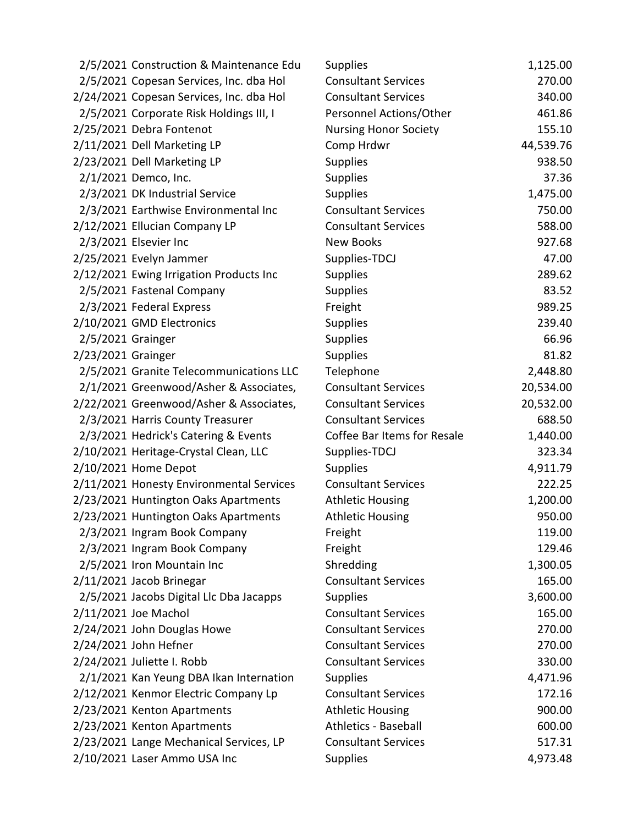|                    | 2/5/2021 Construction & Maintenance Edu  | <b>Supplies</b>              | 1,125.00  |
|--------------------|------------------------------------------|------------------------------|-----------|
|                    | 2/5/2021 Copesan Services, Inc. dba Hol  | <b>Consultant Services</b>   | 270.00    |
|                    | 2/24/2021 Copesan Services, Inc. dba Hol | <b>Consultant Services</b>   | 340.00    |
|                    | 2/5/2021 Corporate Risk Holdings III, I  | Personnel Actions/Other      | 461.86    |
|                    | 2/25/2021 Debra Fontenot                 | <b>Nursing Honor Society</b> | 155.10    |
|                    | 2/11/2021 Dell Marketing LP              | Comp Hrdwr                   | 44,539.76 |
|                    | 2/23/2021 Dell Marketing LP              | <b>Supplies</b>              | 938.50    |
|                    | 2/1/2021 Demco, Inc.                     | <b>Supplies</b>              | 37.36     |
|                    | 2/3/2021 DK Industrial Service           | <b>Supplies</b>              | 1,475.00  |
|                    | 2/3/2021 Earthwise Environmental Inc     | <b>Consultant Services</b>   | 750.00    |
|                    | 2/12/2021 Ellucian Company LP            | <b>Consultant Services</b>   | 588.00    |
|                    | 2/3/2021 Elsevier Inc                    | <b>New Books</b>             | 927.68    |
|                    | 2/25/2021 Evelyn Jammer                  | Supplies-TDCJ                | 47.00     |
|                    | 2/12/2021 Ewing Irrigation Products Inc  | <b>Supplies</b>              | 289.62    |
|                    | 2/5/2021 Fastenal Company                | <b>Supplies</b>              | 83.52     |
|                    | 2/3/2021 Federal Express                 | Freight                      | 989.25    |
|                    | 2/10/2021 GMD Electronics                | <b>Supplies</b>              | 239.40    |
|                    | 2/5/2021 Grainger                        | <b>Supplies</b>              | 66.96     |
| 2/23/2021 Grainger |                                          | <b>Supplies</b>              | 81.82     |
|                    | 2/5/2021 Granite Telecommunications LLC  | Telephone                    | 2,448.80  |
|                    | 2/1/2021 Greenwood/Asher & Associates,   | <b>Consultant Services</b>   | 20,534.00 |
|                    | 2/22/2021 Greenwood/Asher & Associates,  | <b>Consultant Services</b>   | 20,532.00 |
|                    | 2/3/2021 Harris County Treasurer         | <b>Consultant Services</b>   | 688.50    |
|                    | 2/3/2021 Hedrick's Catering & Events     | Coffee Bar Items for Resale  | 1,440.00  |
|                    | 2/10/2021 Heritage-Crystal Clean, LLC    | Supplies-TDCJ                | 323.34    |
|                    | 2/10/2021 Home Depot                     | <b>Supplies</b>              | 4,911.79  |
|                    | 2/11/2021 Honesty Environmental Services | <b>Consultant Services</b>   | 222.25    |
|                    | 2/23/2021 Huntington Oaks Apartments     | <b>Athletic Housing</b>      | 1,200.00  |
|                    | 2/23/2021 Huntington Oaks Apartments     | <b>Athletic Housing</b>      | 950.00    |
|                    | 2/3/2021 Ingram Book Company             | Freight                      | 119.00    |
|                    | 2/3/2021 Ingram Book Company             | Freight                      | 129.46    |
|                    | 2/5/2021 Iron Mountain Inc               | Shredding                    | 1,300.05  |
|                    | 2/11/2021 Jacob Brinegar                 | <b>Consultant Services</b>   | 165.00    |
|                    | 2/5/2021 Jacobs Digital Llc Dba Jacapps  | <b>Supplies</b>              | 3,600.00  |
|                    | 2/11/2021 Joe Machol                     | <b>Consultant Services</b>   | 165.00    |
|                    | 2/24/2021 John Douglas Howe              | <b>Consultant Services</b>   | 270.00    |
|                    | 2/24/2021 John Hefner                    | <b>Consultant Services</b>   | 270.00    |
|                    | 2/24/2021 Juliette I. Robb               | <b>Consultant Services</b>   | 330.00    |
|                    | 2/1/2021 Kan Yeung DBA Ikan Internation  | <b>Supplies</b>              | 4,471.96  |
|                    | 2/12/2021 Kenmor Electric Company Lp     | <b>Consultant Services</b>   | 172.16    |
|                    | 2/23/2021 Kenton Apartments              | <b>Athletic Housing</b>      | 900.00    |
|                    | 2/23/2021 Kenton Apartments              | <b>Athletics - Baseball</b>  | 600.00    |
|                    | 2/23/2021 Lange Mechanical Services, LP  | <b>Consultant Services</b>   | 517.31    |
|                    | 2/10/2021 Laser Ammo USA Inc             | <b>Supplies</b>              | 4,973.48  |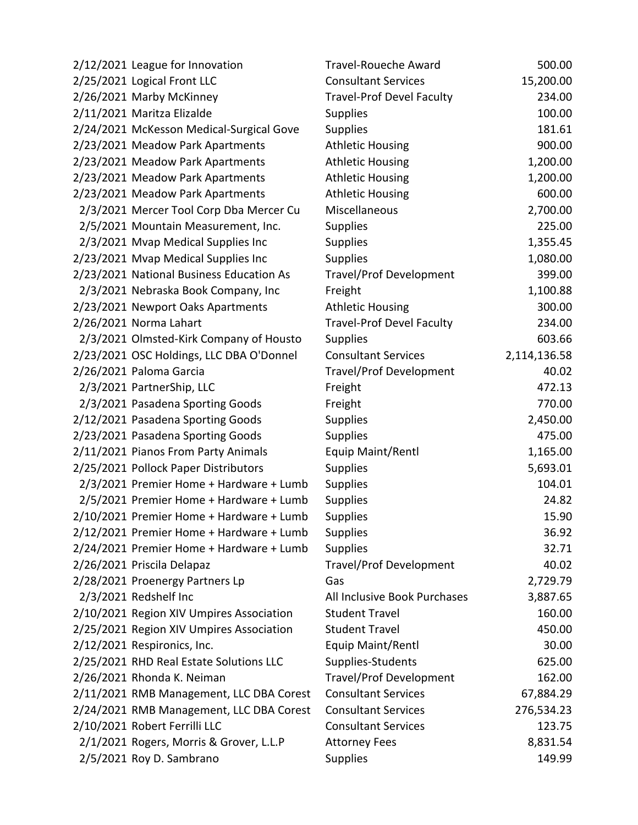| 2/12/2021 League for Innovation          | <b>Travel-Roueche Award</b>      | 500.00       |
|------------------------------------------|----------------------------------|--------------|
| 2/25/2021 Logical Front LLC              | <b>Consultant Services</b>       | 15,200.00    |
| 2/26/2021 Marby McKinney                 | <b>Travel-Prof Devel Faculty</b> | 234.00       |
| 2/11/2021 Maritza Elizalde               | <b>Supplies</b>                  | 100.00       |
| 2/24/2021 McKesson Medical-Surgical Gove | <b>Supplies</b>                  | 181.61       |
| 2/23/2021 Meadow Park Apartments         | <b>Athletic Housing</b>          | 900.00       |
| 2/23/2021 Meadow Park Apartments         | <b>Athletic Housing</b>          | 1,200.00     |
| 2/23/2021 Meadow Park Apartments         | <b>Athletic Housing</b>          | 1,200.00     |
| 2/23/2021 Meadow Park Apartments         | <b>Athletic Housing</b>          | 600.00       |
| 2/3/2021 Mercer Tool Corp Dba Mercer Cu  | Miscellaneous                    | 2,700.00     |
| 2/5/2021 Mountain Measurement, Inc.      | <b>Supplies</b>                  | 225.00       |
| 2/3/2021 Mvap Medical Supplies Inc       | <b>Supplies</b>                  | 1,355.45     |
| 2/23/2021 Mvap Medical Supplies Inc      | <b>Supplies</b>                  | 1,080.00     |
| 2/23/2021 National Business Education As | <b>Travel/Prof Development</b>   | 399.00       |
| 2/3/2021 Nebraska Book Company, Inc      | Freight                          | 1,100.88     |
| 2/23/2021 Newport Oaks Apartments        | <b>Athletic Housing</b>          | 300.00       |
| 2/26/2021 Norma Lahart                   | <b>Travel-Prof Devel Faculty</b> | 234.00       |
| 2/3/2021 Olmsted-Kirk Company of Housto  | <b>Supplies</b>                  | 603.66       |
| 2/23/2021 OSC Holdings, LLC DBA O'Donnel | <b>Consultant Services</b>       | 2,114,136.58 |
| 2/26/2021 Paloma Garcia                  | <b>Travel/Prof Development</b>   | 40.02        |
| 2/3/2021 PartnerShip, LLC                | Freight                          | 472.13       |
| 2/3/2021 Pasadena Sporting Goods         | Freight                          | 770.00       |
| 2/12/2021 Pasadena Sporting Goods        | <b>Supplies</b>                  | 2,450.00     |
| 2/23/2021 Pasadena Sporting Goods        | <b>Supplies</b>                  | 475.00       |
| 2/11/2021 Pianos From Party Animals      | Equip Maint/Rentl                | 1,165.00     |
| 2/25/2021 Pollock Paper Distributors     | <b>Supplies</b>                  | 5,693.01     |
| 2/3/2021 Premier Home + Hardware + Lumb  | Supplies                         | 104.01       |
| 2/5/2021 Premier Home + Hardware + Lumb  | <b>Supplies</b>                  | 24.82        |
| 2/10/2021 Premier Home + Hardware + Lumb | <b>Supplies</b>                  | 15.90        |
| 2/12/2021 Premier Home + Hardware + Lumb | <b>Supplies</b>                  | 36.92        |
| 2/24/2021 Premier Home + Hardware + Lumb | <b>Supplies</b>                  | 32.71        |
| 2/26/2021 Priscila Delapaz               | <b>Travel/Prof Development</b>   | 40.02        |
| 2/28/2021 Proenergy Partners Lp          | Gas                              | 2,729.79     |
| 2/3/2021 Redshelf Inc                    | All Inclusive Book Purchases     | 3,887.65     |
| 2/10/2021 Region XIV Umpires Association | <b>Student Travel</b>            | 160.00       |
| 2/25/2021 Region XIV Umpires Association | <b>Student Travel</b>            | 450.00       |
| 2/12/2021 Respironics, Inc.              | Equip Maint/Rentl                | 30.00        |
| 2/25/2021 RHD Real Estate Solutions LLC  | Supplies-Students                | 625.00       |
| 2/26/2021 Rhonda K. Neiman               | <b>Travel/Prof Development</b>   | 162.00       |
| 2/11/2021 RMB Management, LLC DBA Corest | <b>Consultant Services</b>       | 67,884.29    |
| 2/24/2021 RMB Management, LLC DBA Corest | <b>Consultant Services</b>       | 276,534.23   |
| 2/10/2021 Robert Ferrilli LLC            | <b>Consultant Services</b>       | 123.75       |
| 2/1/2021 Rogers, Morris & Grover, L.L.P  | <b>Attorney Fees</b>             | 8,831.54     |
| 2/5/2021 Roy D. Sambrano                 | Supplies                         | 149.99       |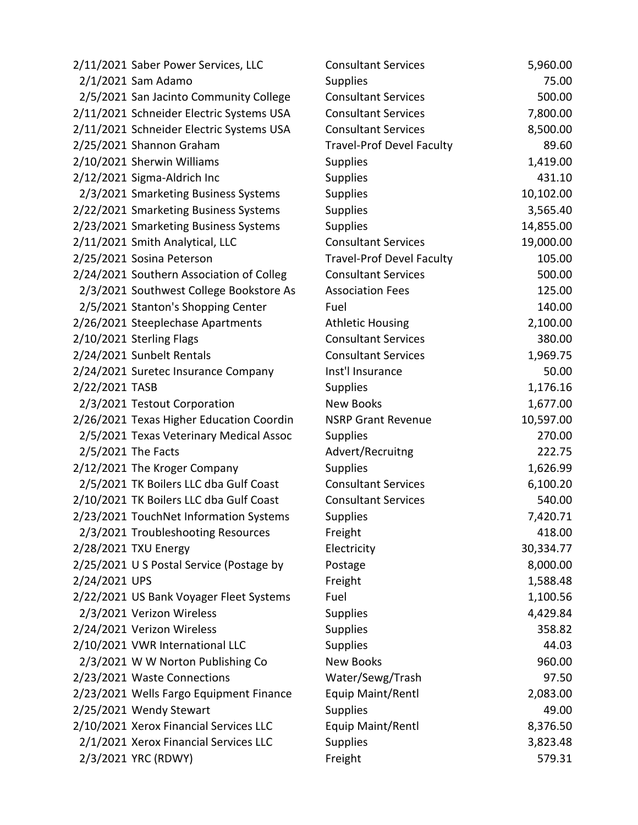|                | 2/11/2021 Saber Power Services, LLC      | <b>Consultant Services</b>       | 5,960.00  |
|----------------|------------------------------------------|----------------------------------|-----------|
|                | 2/1/2021 Sam Adamo                       | <b>Supplies</b>                  | 75.00     |
|                | 2/5/2021 San Jacinto Community College   | <b>Consultant Services</b>       | 500.00    |
|                | 2/11/2021 Schneider Electric Systems USA | <b>Consultant Services</b>       | 7,800.00  |
|                | 2/11/2021 Schneider Electric Systems USA | <b>Consultant Services</b>       | 8,500.00  |
|                | 2/25/2021 Shannon Graham                 | <b>Travel-Prof Devel Faculty</b> | 89.60     |
|                | 2/10/2021 Sherwin Williams               | <b>Supplies</b>                  | 1,419.00  |
|                | 2/12/2021 Sigma-Aldrich Inc              | <b>Supplies</b>                  | 431.10    |
|                | 2/3/2021 Smarketing Business Systems     | <b>Supplies</b>                  | 10,102.00 |
|                | 2/22/2021 Smarketing Business Systems    | <b>Supplies</b>                  | 3,565.40  |
|                | 2/23/2021 Smarketing Business Systems    | Supplies                         | 14,855.00 |
|                | 2/11/2021 Smith Analytical, LLC          | <b>Consultant Services</b>       | 19,000.00 |
|                | 2/25/2021 Sosina Peterson                | <b>Travel-Prof Devel Faculty</b> | 105.00    |
|                | 2/24/2021 Southern Association of Colleg | <b>Consultant Services</b>       | 500.00    |
|                | 2/3/2021 Southwest College Bookstore As  | <b>Association Fees</b>          | 125.00    |
|                | 2/5/2021 Stanton's Shopping Center       | Fuel                             | 140.00    |
|                | 2/26/2021 Steeplechase Apartments        | <b>Athletic Housing</b>          | 2,100.00  |
|                | 2/10/2021 Sterling Flags                 | <b>Consultant Services</b>       | 380.00    |
|                | 2/24/2021 Sunbelt Rentals                | <b>Consultant Services</b>       | 1,969.75  |
|                | 2/24/2021 Suretec Insurance Company      | Inst'l Insurance                 | 50.00     |
| 2/22/2021 TASB |                                          | <b>Supplies</b>                  | 1,176.16  |
|                | 2/3/2021 Testout Corporation             | <b>New Books</b>                 | 1,677.00  |
|                | 2/26/2021 Texas Higher Education Coordin | <b>NSRP Grant Revenue</b>        | 10,597.00 |
|                | 2/5/2021 Texas Veterinary Medical Assoc  | <b>Supplies</b>                  | 270.00    |
|                | 2/5/2021 The Facts                       | Advert/Recruitng                 | 222.75    |
|                | 2/12/2021 The Kroger Company             | <b>Supplies</b>                  | 1,626.99  |
|                | 2/5/2021 TK Boilers LLC dba Gulf Coast   | <b>Consultant Services</b>       | 6,100.20  |
|                | 2/10/2021 TK Boilers LLC dba Gulf Coast  | <b>Consultant Services</b>       | 540.00    |
|                | 2/23/2021 TouchNet Information Systems   | <b>Supplies</b>                  | 7,420.71  |
|                | 2/3/2021 Troubleshooting Resources       | Freight                          | 418.00    |
|                | 2/28/2021 TXU Energy                     | Electricity                      | 30,334.77 |
|                | 2/25/2021 U S Postal Service (Postage by | Postage                          | 8,000.00  |
| 2/24/2021 UPS  |                                          | Freight                          | 1,588.48  |
|                | 2/22/2021 US Bank Voyager Fleet Systems  | Fuel                             | 1,100.56  |
|                | 2/3/2021 Verizon Wireless                | <b>Supplies</b>                  | 4,429.84  |
|                | 2/24/2021 Verizon Wireless               | <b>Supplies</b>                  | 358.82    |
|                | 2/10/2021 VWR International LLC          | <b>Supplies</b>                  | 44.03     |
|                | 2/3/2021 W W Norton Publishing Co        | <b>New Books</b>                 | 960.00    |
|                | 2/23/2021 Waste Connections              | Water/Sewg/Trash                 | 97.50     |
|                | 2/23/2021 Wells Fargo Equipment Finance  | Equip Maint/Rentl                | 2,083.00  |
|                | 2/25/2021 Wendy Stewart                  | <b>Supplies</b>                  | 49.00     |
|                | 2/10/2021 Xerox Financial Services LLC   | Equip Maint/Rentl                | 8,376.50  |
|                | 2/1/2021 Xerox Financial Services LLC    | <b>Supplies</b>                  | 3,823.48  |
|                | 2/3/2021 YRC (RDWY)                      | Freight                          | 579.31    |
|                |                                          |                                  |           |